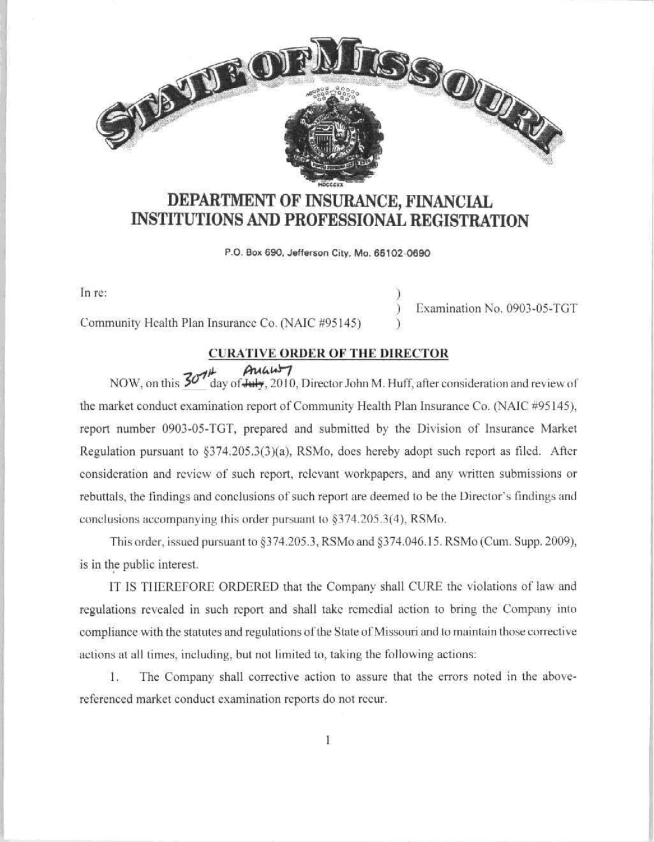

# **DEPARTMENT OF INSURANCE, FINANCIAL INSTITUTIONS AND PROFESSIONAL REGISTRATION**

P.O. Box 690. Jefferson Cíly. Mo. **66102-0690** 

ln re:

Community Health Plan Insurance Co. (NAIC #95145)

# **CURATIVE ORDER OFTHE DJRECTOR**

)

)

) Examination No. 0903-05-TGT

 $7.77$  **A** $u$  $u$  $v$ NOW, on this  $50'$  day of July, 2010, Director John M. Huff, after consideration and review of the market conduct examination report of Community Health Plan Insurance Co. (NAIC #95145), report number 0903-05-TGT, prepared and submitted by the Division of Insurance Market Regulation pursuant to  $\S374.205.3(3)(a)$ , RSMo, does hereby adopt such report as filed. After considcration and rcvicw of such report, rclcvant workpapcrs, and any written submissions or rebuttals, the findings and conclusions of such report are deemed to be the Director's findings and conclusions accompanying this order pursuant to  $§374.205.3(4)$ , RSMo.

This order. issued pursuant to §374.205.3, RSMo and §374.046. I 5. RSMo (Cum. Supp. 2009), is in the public interest.

IT IS TIIEREFORE ORDERED that the Company shall CURE thc violations oť law and regulations revealed in such report and shall take remedial action to bring the Company into compliance with the statutes and regulations of the State of Missouri and to maintain those corrective actions at all times, including, but not limited to, taking the following actions:

1. The Company sball corrective action to assure that the errors noted in the abovereferenced market conduct examination reports do not rccur.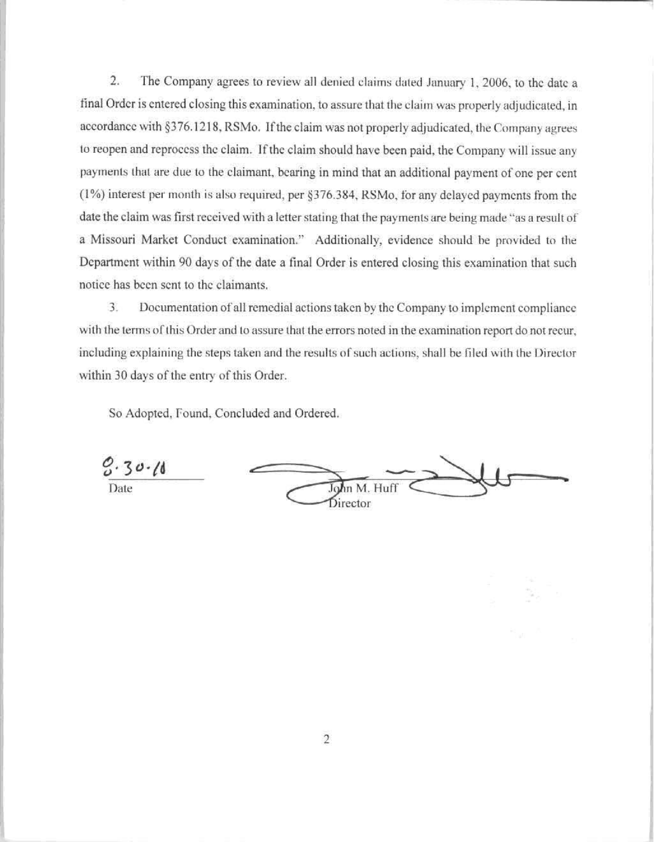2. The Company agrees to review all denied claims dated January 1, 2006, to the date a final Order is entered closing this examination, to assure that the claim was properly adjudicated, in accordance with §376.1218, RSMo. If the claim was not properly adjudicated, the Company agrees to reopen and reprocess the claim. If the claim should have been paid, the Company will issue any payments that are due to the claimant, bearing in mind that an additional payment of one per cent (1%) interest per month is also required, per §376.384, RSMo, for any delayed payments from the date the claim was first received with a letter stating that the payments are being made "as a result of a Missouri Market Conduct examination." Additionally, evidence should be provided to the Department within 90 days of the date a final Order is entered closing this examination that such notice has bccn scnt to thc claimants.

3. Documentation of all remedial actions taken by the Company to implement compliance with the terms of this Order and to assure that the errors noted in the examination report do not recur, including explaining the steps taken and the results of such actions, shall be filed with the Director within 30 days of the entry of this Order.

So Adopted, found, Concluded and Ordered.

Date  $\overbrace{\phantom{aaaaa}}$  Date  $\overbrace{\phantom{aaaaa}}$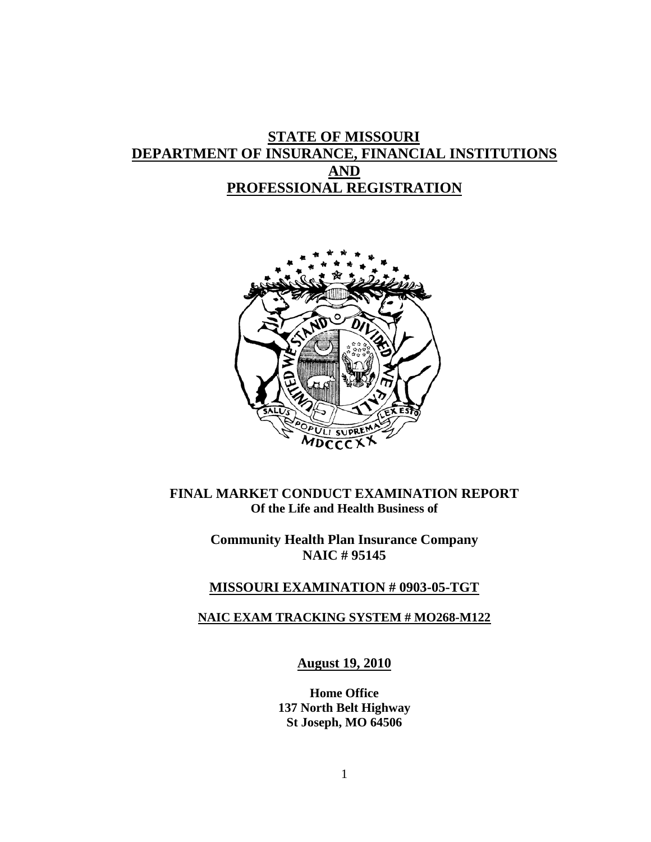# **STATE OF MISSOURI DEPARTMENT OF INSURANCE, FINANCIAL INSTITUTIONS AND PROFESSIONAL REGISTRATION**



**FINAL MARKET CONDUCT EXAMINATION REPORT Of the Life and Health Business of**

> **Community Health Plan Insurance Company NAIC # 95145**

#### **MISSOURI EXAMINATION # 0903-05-TGT**

## **NAIC EXAM TRACKING SYSTEM # MO268-M122**

**August 19, 2010**

**Home Office 137 North Belt Highway St Joseph, MO 64506**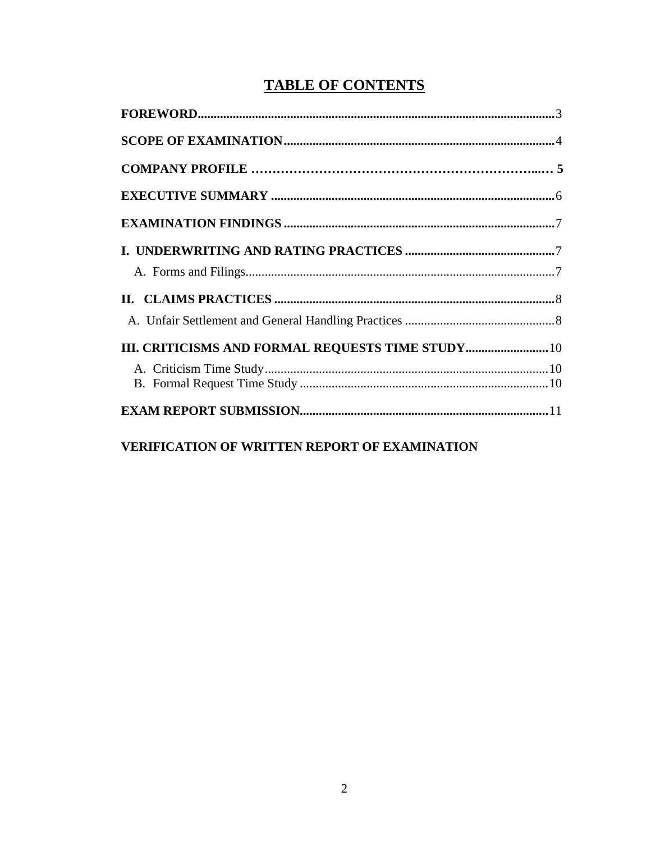# **TABLE OF CONTENTS**

# VERIFICATION OF WRITTEN REPORT OF EXAMINATION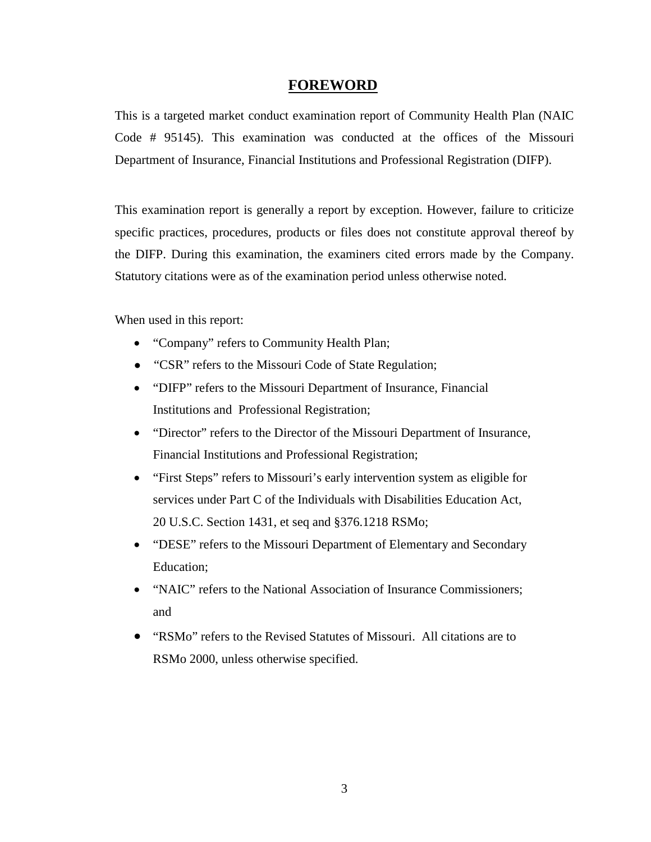### **FOREWORD**

This is a targeted market conduct examination report of Community Health Plan (NAIC Code # 95145). This examination was conducted at the offices of the Missouri Department of Insurance, Financial Institutions and Professional Registration (DIFP).

This examination report is generally a report by exception. However, failure to criticize specific practices, procedures, products or files does not constitute approval thereof by the DIFP. During this examination, the examiners cited errors made by the Company. Statutory citations were as of the examination period unless otherwise noted.

When used in this report:

- "Company" refers to Community Health Plan;
- "CSR" refers to the Missouri Code of State Regulation;
- "DIFP" refers to the Missouri Department of Insurance, Financial Institutions and Professional Registration;
- "Director" refers to the Director of the Missouri Department of Insurance, Financial Institutions and Professional Registration;
- "First Steps" refers to Missouri's early intervention system as eligible for services under Part C of the Individuals with Disabilities Education Act, 20 U.S.C. Section 1431, et seq and §376.1218 RSMo;
- "DESE" refers to the Missouri Department of Elementary and Secondary Education;
- "NAIC" refers to the National Association of Insurance Commissioners; and
- "RSMo" refers to the Revised Statutes of Missouri. All citations are to RSMo 2000, unless otherwise specified.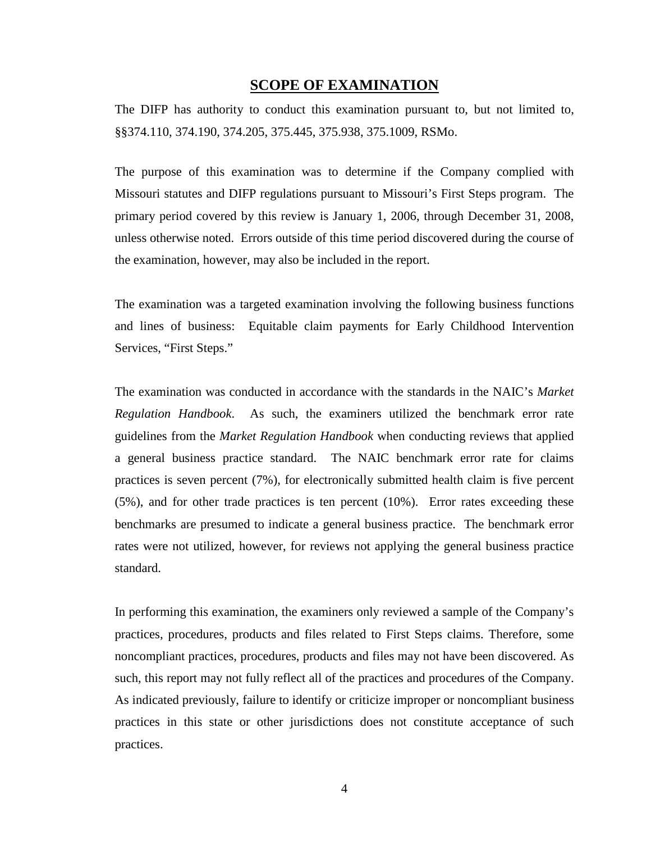#### **SCOPE OF EXAMINATION**

The DIFP has authority to conduct this examination pursuant to, but not limited to, §§374.110, 374.190, 374.205, 375.445, 375.938, 375.1009, RSMo.

The purpose of this examination was to determine if the Company complied with Missouri statutes and DIFP regulations pursuant to Missouri's First Steps program. The primary period covered by this review is January 1, 2006, through December 31, 2008, unless otherwise noted. Errors outside of this time period discovered during the course of the examination, however, may also be included in the report.

The examination was a targeted examination involving the following business functions and lines of business: Equitable claim payments for Early Childhood Intervention Services, "First Steps."

The examination was conducted in accordance with the standards in the NAIC's *Market Regulation Handbook*. As such, the examiners utilized the benchmark error rate guidelines from the *Market Regulation Handbook* when conducting reviews that applied a general business practice standard. The NAIC benchmark error rate for claims practices is seven percent (7%), for electronically submitted health claim is five percent (5%), and for other trade practices is ten percent (10%). Error rates exceeding these benchmarks are presumed to indicate a general business practice. The benchmark error rates were not utilized, however, for reviews not applying the general business practice standard.

In performing this examination, the examiners only reviewed a sample of the Company's practices, procedures, products and files related to First Steps claims. Therefore, some noncompliant practices, procedures, products and files may not have been discovered. As such, this report may not fully reflect all of the practices and procedures of the Company. As indicated previously, failure to identify or criticize improper or noncompliant business practices in this state or other jurisdictions does not constitute acceptance of such practices.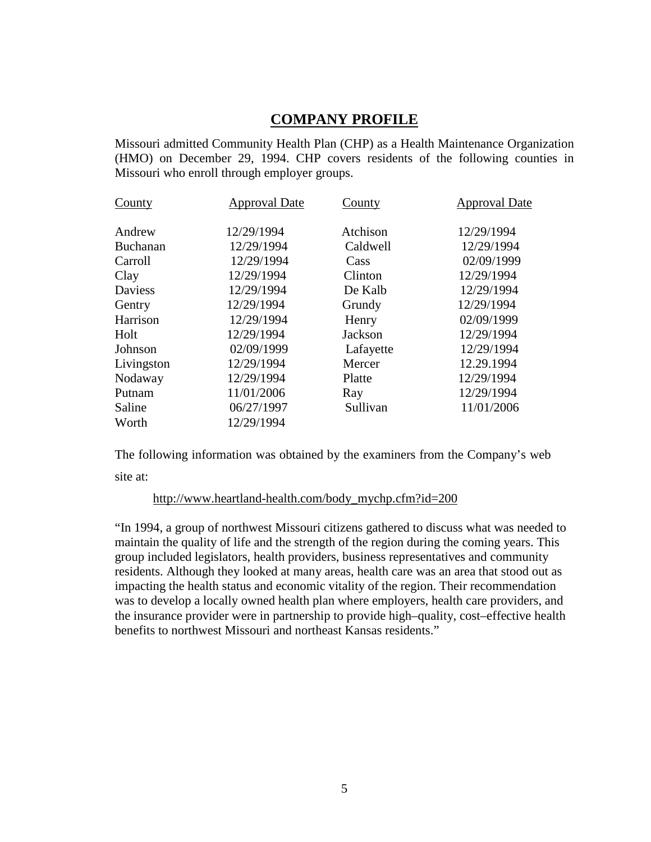# **COMPANY PROFILE**

Missouri admitted Community Health Plan (CHP) as a Health Maintenance Organization (HMO) on December 29, 1994. CHP covers residents of the following counties in Missouri who enroll through employer groups.

| County          | <b>Approval Date</b> | County    | <b>Approval Date</b> |
|-----------------|----------------------|-----------|----------------------|
| Andrew          | 12/29/1994           | Atchison  | 12/29/1994           |
| <b>Buchanan</b> | 12/29/1994           | Caldwell  | 12/29/1994           |
| Carroll         | 12/29/1994           | Cass      | 02/09/1999           |
| Clay            | 12/29/1994           | Clinton   | 12/29/1994           |
| Daviess         | 12/29/1994           | De Kalb   | 12/29/1994           |
| Gentry          | 12/29/1994           | Grundy    | 12/29/1994           |
| Harrison        | 12/29/1994           | Henry     | 02/09/1999           |
| Holt            | 12/29/1994           | Jackson   | 12/29/1994           |
| Johnson         | 02/09/1999           | Lafayette | 12/29/1994           |
| Livingston      | 12/29/1994           | Mercer    | 12.29.1994           |
| Nodaway         | 12/29/1994           | Platte    | 12/29/1994           |
| Putnam          | 11/01/2006           | Ray       | 12/29/1994           |
| Saline          | 06/27/1997           | Sullivan  | 11/01/2006           |
| Worth           | 12/29/1994           |           |                      |

The following information was obtained by the examiners from the Company's web site at:

#### http://www.heartland-health.com/body\_mychp.cfm?id=200

"In 1994, a group of northwest Missouri citizens gathered to discuss what was needed to maintain the quality of life and the strength of the region during the coming years. This group included legislators, health providers, business representatives and community residents. Although they looked at many areas, health care was an area that stood out as impacting the health status and economic vitality of the region. Their recommendation was to develop a locally owned health plan where employers, health care providers, and the insurance provider were in partnership to provide high–quality, cost–effective health benefits to northwest Missouri and northeast Kansas residents."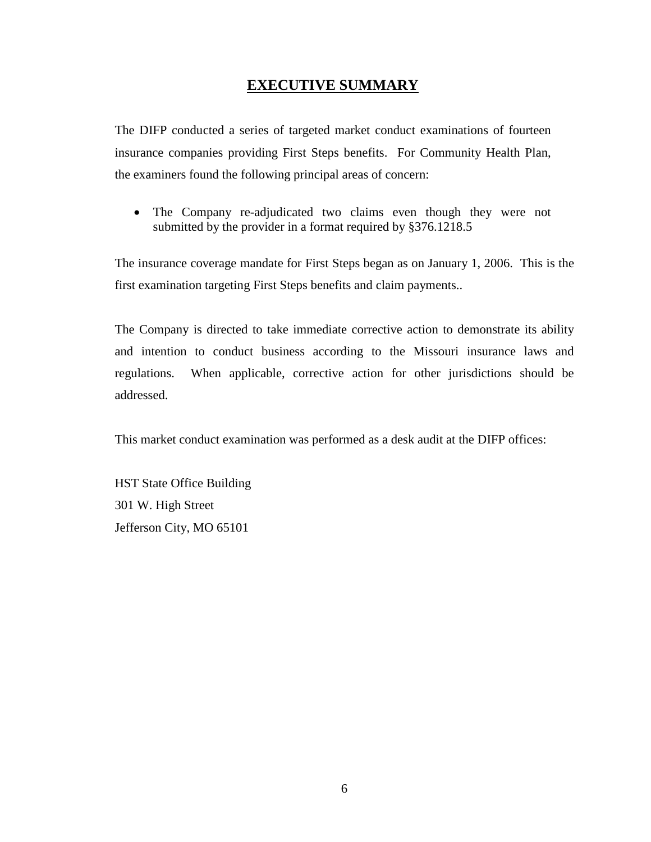# **EXECUTIVE SUMMARY**

The DIFP conducted a series of targeted market conduct examinations of fourteen insurance companies providing First Steps benefits. For Community Health Plan, the examiners found the following principal areas of concern:

• The Company re-adjudicated two claims even though they were not submitted by the provider in a format required by §376.1218.5

The insurance coverage mandate for First Steps began as on January 1, 2006. This is the first examination targeting First Steps benefits and claim payments..

The Company is directed to take immediate corrective action to demonstrate its ability and intention to conduct business according to the Missouri insurance laws and regulations. When applicable, corrective action for other jurisdictions should be addressed.

This market conduct examination was performed as a desk audit at the DIFP offices:

HST State Office Building 301 W. High Street Jefferson City, MO 65101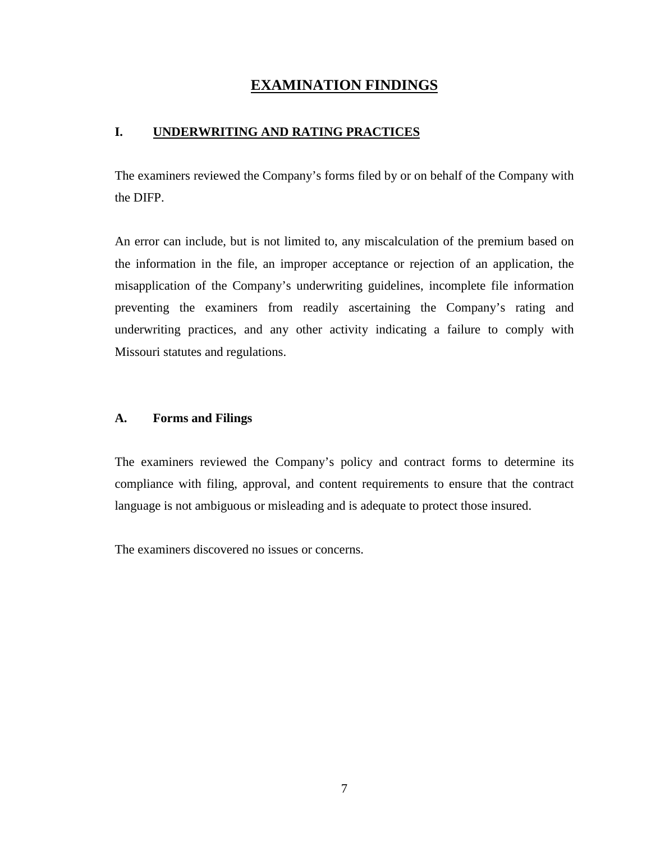# **EXAMINATION FINDINGS**

## **I. UNDERWRITING AND RATING PRACTICES**

The examiners reviewed the Company's forms filed by or on behalf of the Company with the DIFP.

An error can include, but is not limited to, any miscalculation of the premium based on the information in the file, an improper acceptance or rejection of an application, the misapplication of the Company's underwriting guidelines, incomplete file information preventing the examiners from readily ascertaining the Company's rating and underwriting practices, and any other activity indicating a failure to comply with Missouri statutes and regulations.

#### **A. Forms and Filings**

The examiners reviewed the Company's policy and contract forms to determine its compliance with filing, approval, and content requirements to ensure that the contract language is not ambiguous or misleading and is adequate to protect those insured.

The examiners discovered no issues or concerns.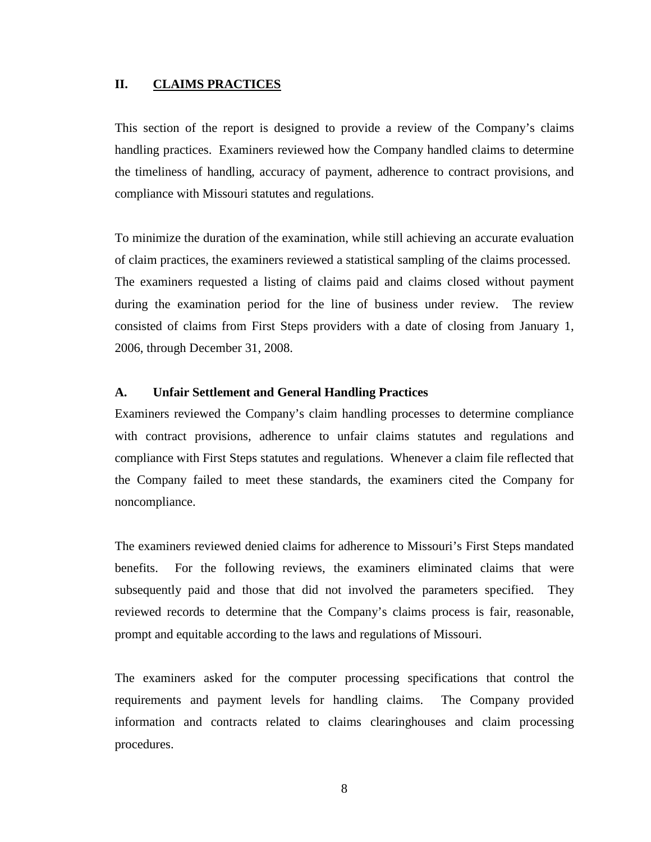#### **II. CLAIMS PRACTICES**

This section of the report is designed to provide a review of the Company's claims handling practices. Examiners reviewed how the Company handled claims to determine the timeliness of handling, accuracy of payment, adherence to contract provisions, and compliance with Missouri statutes and regulations.

To minimize the duration of the examination, while still achieving an accurate evaluation of claim practices, the examiners reviewed a statistical sampling of the claims processed. The examiners requested a listing of claims paid and claims closed without payment during the examination period for the line of business under review. The review consisted of claims from First Steps providers with a date of closing from January 1, 2006, through December 31, 2008.

### **A. Unfair Settlement and General Handling Practices**

Examiners reviewed the Company's claim handling processes to determine compliance with contract provisions, adherence to unfair claims statutes and regulations and compliance with First Steps statutes and regulations. Whenever a claim file reflected that the Company failed to meet these standards, the examiners cited the Company for noncompliance.

The examiners reviewed denied claims for adherence to Missouri's First Steps mandated benefits. For the following reviews, the examiners eliminated claims that were subsequently paid and those that did not involved the parameters specified. They reviewed records to determine that the Company's claims process is fair, reasonable, prompt and equitable according to the laws and regulations of Missouri.

The examiners asked for the computer processing specifications that control the requirements and payment levels for handling claims. The Company provided information and contracts related to claims clearinghouses and claim processing procedures.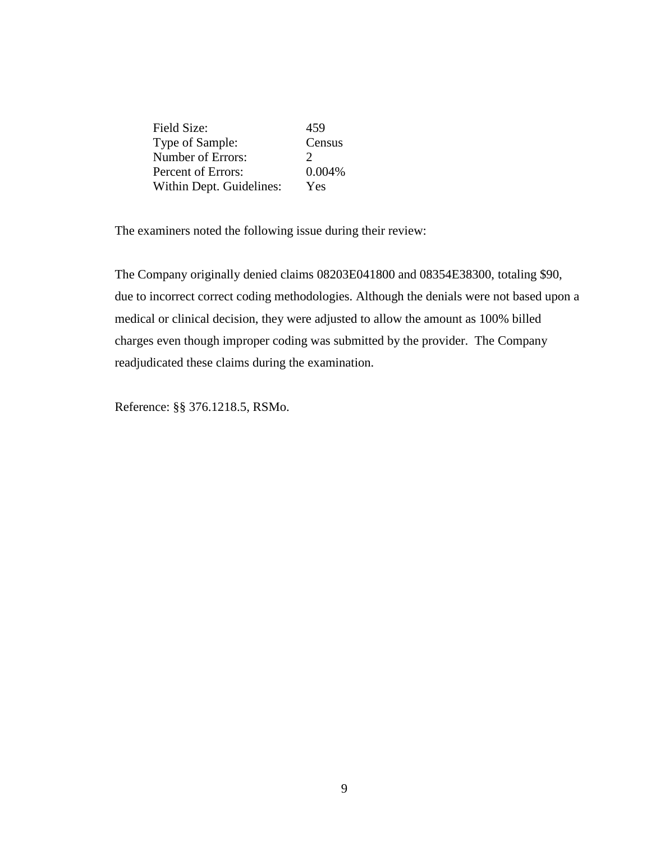| Field Size:              | 459           |
|--------------------------|---------------|
| Type of Sample:          | Census        |
| Number of Errors:        | $\mathcal{L}$ |
| Percent of Errors:       | 0.004%        |
| Within Dept. Guidelines: | Yes           |

The examiners noted the following issue during their review:

The Company originally denied claims 08203E041800 and 08354E38300, totaling \$90, due to incorrect correct coding methodologies. Although the denials were not based upon a medical or clinical decision, they were adjusted to allow the amount as 100% billed charges even though improper coding was submitted by the provider. The Company readjudicated these claims during the examination.

Reference: §§ 376.1218.5, RSMo.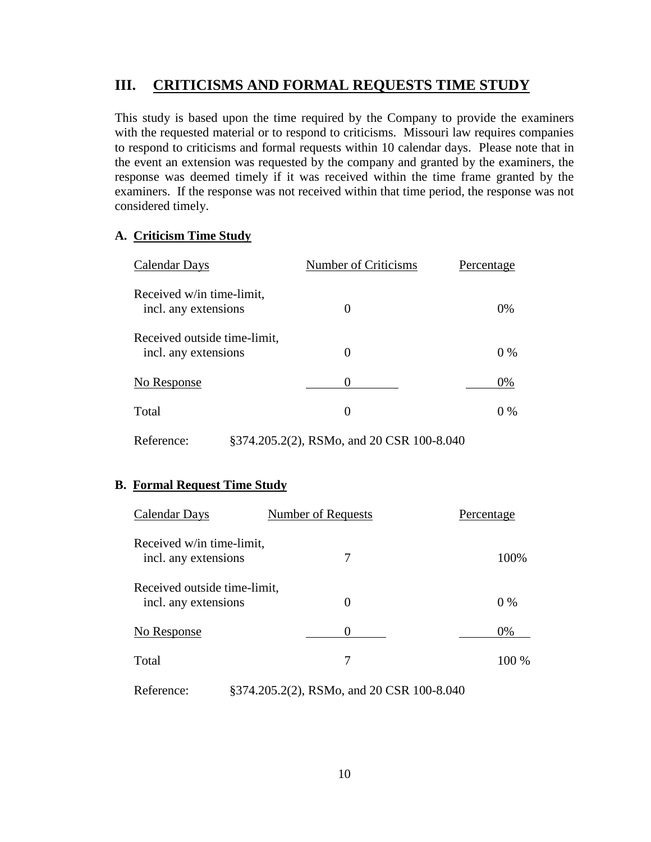#### **III. CRITICISMS AND FORMAL REQUESTS TIME STUDY**

This study is based upon the time required by the Company to provide the examiners with the requested material or to respond to criticisms. Missouri law requires companies to respond to criticisms and formal requests within 10 calendar days. Please note that in the event an extension was requested by the company and granted by the examiners, the response was deemed timely if it was received within the time frame granted by the examiners. If the response was not received within that time period, the response was not considered timely.

### <span id="page-11-0"></span>**A. Criticism Time Study**

| <b>Calendar Days</b>                                 | Number of Criticisms | Percentage |
|------------------------------------------------------|----------------------|------------|
| Received w/in time-limit,<br>incl. any extensions    | 0                    | $0\%$      |
| Received outside time-limit,<br>incl. any extensions | 0                    | $0\%$      |
| No Response                                          |                      | 0%         |
| Total                                                |                      | $0\%$      |
|                                                      |                      |            |

Reference: §374.205.2(2), RSMo, and 20 CSR 100-8.040

## <span id="page-11-1"></span>**B. Formal Request Time Study**

| Calendar Days                                        | Number of Requests | Percentage |
|------------------------------------------------------|--------------------|------------|
| Received w/in time-limit,<br>incl. any extensions    | 7                  | 100%       |
| Received outside time-limit,<br>incl. any extensions | $\theta$           | $0\%$      |
| No Response                                          | $\Omega$           | 0%         |
| Total                                                | 7                  | $100\%$    |

Reference: §374.205.2(2), RSMo, and 20 CSR 100-8.040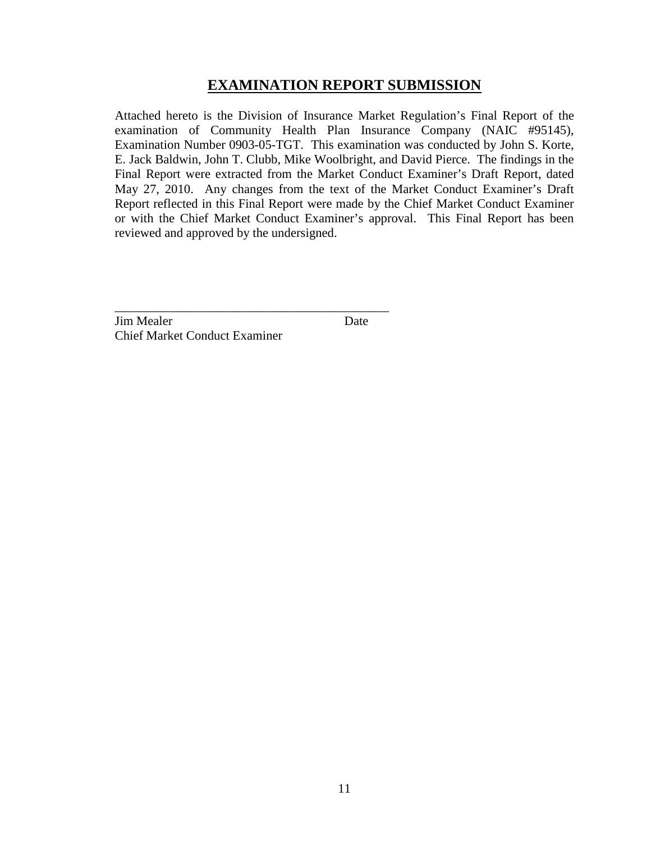# **EXAMINATION REPORT SUBMISSION**

Attached hereto is the Division of Insurance Market Regulation's Final Report of the examination of Community Health Plan Insurance Company (NAIC #95145), Examination Number 0903-05-TGT. This examination was conducted by John S. Korte, E. Jack Baldwin, John T. Clubb, Mike Woolbright, and David Pierce. The findings in the Final Report were extracted from the Market Conduct Examiner's Draft Report, dated May 27, 2010. Any changes from the text of the Market Conduct Examiner's Draft Report reflected in this Final Report were made by the Chief Market Conduct Examiner or with the Chief Market Conduct Examiner's approval. This Final Report has been reviewed and approved by the undersigned.

**Jim Mealer** Date Chief Market Conduct Examiner

\_\_\_\_\_\_\_\_\_\_\_\_\_\_\_\_\_\_\_\_\_\_\_\_\_\_\_\_\_\_\_\_\_\_\_\_\_\_\_\_\_\_\_